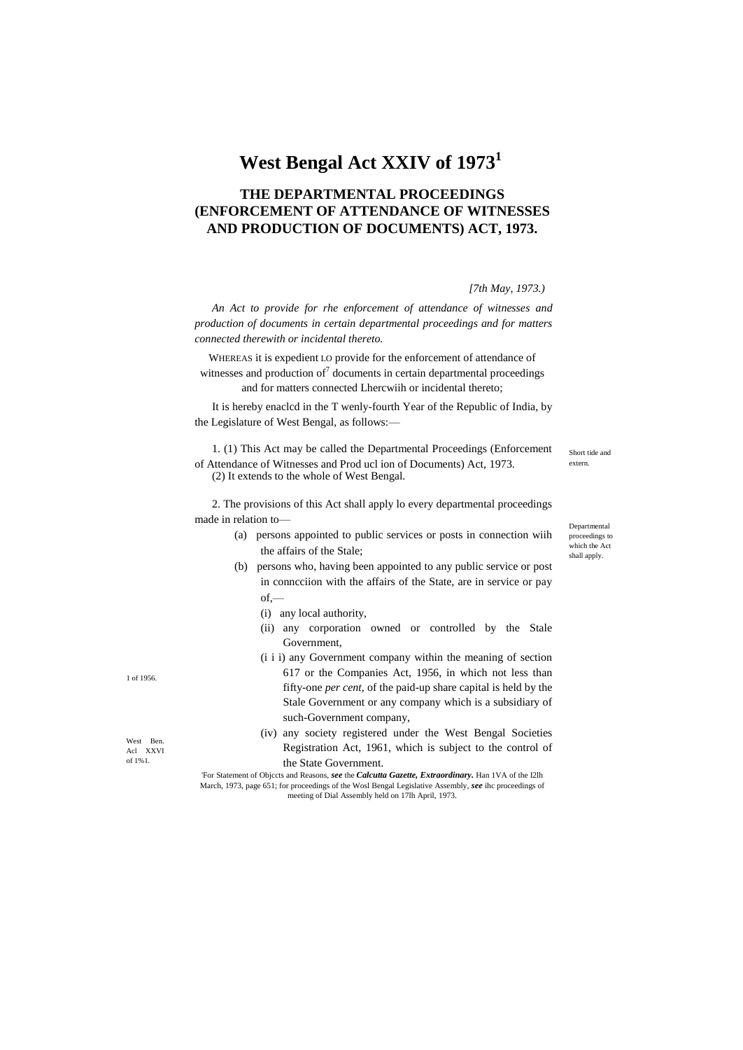# **West Bengal Act XXIV of 1973<sup>1</sup>**

## **THE DEPARTMENTAL PROCEEDINGS (ENFORCEMENT OF ATTENDANCE OF WITNESSES AND PRODUCTION OF DOCUMENTS) ACT, 1973.**

#### *[7th May, 1973.)*

*An Act to provide for rhe enforcement of attendance of witnesses and production of documents in certain departmental proceedings and for matters connected therewith or incidental thereto.*

WHEREAS it is expedient LO provide for the enforcement of attendance of witnesses and production of<sup>7</sup> documents in certain departmental proceedings and for matters connected Lhercwiih or incidental thereto;

It is hereby enaclcd in the T wenly-fourth Year of the Republic of India, by the Legislature of West Bengal, as follows:—

1. (1) This Act may be called the Departmental Proceedings (Enforcement of Attendance of Witnesses and Prod ucl ion of Documents) Act, 1973. (2) It extends to the whole of West Bengal.

2. The provisions of this Act shall apply lo every departmental proceedings

- made in relation to—
	- (a) persons appointed to public services or posts in connection wiih the affairs of the Stale;
	- (b) persons who, having been appointed to any public service or post in conncciion with the affairs of the State, are in service or pay of,—
		- (i) any local authority,
		- (ii) any corporation owned or controlled by the Stale Government,
		- (i i i) any Government company within the meaning of section 617 or the Companies Act, 1956, in which not less than fifty-one *per cent,* of the paid-up share capital is held by the Stale Government or any company which is a subsidiary of such-Government company,
		- (iv) any society registered under the West Bengal Societies Registration Act, 1961, which is subject to the control of the State Government.

'For Statement of Objccts and Reasons, *see* the *Calcutta Gazette, Extraordinary.* Han 1VA of the I2lh March, 1973, page 651; for proceedings of the Wosl Bengal Legislative Assembly, *see* ihc proceedings of meeting of Dial Assembly held on 17lh April, 1973.

1 of 1956.

West Ben. Acl XXVI of 1%1.

Short tide and extern.

proceedings to which the Act shall apply.

Departmental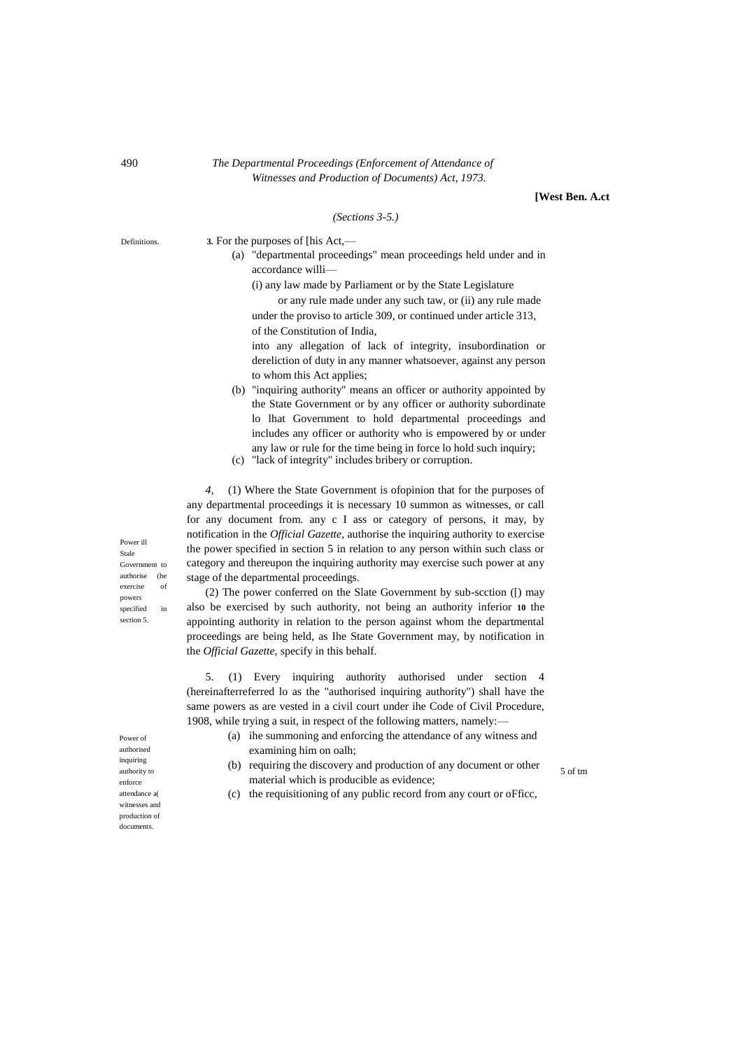#### 490 *The Departmental Proceedings (Enforcement of Attendance of Witnesses and Production of Documents) Act, 1973.*

**[West Ben. A.ct**

5 of tm

#### *(Sections 3-5.)*

Definitions. **3.** For the purposes of [his Act,—

|                   |                                           |  |  |  | (a) "departmental proceedings" mean proceedings held under and in |  |  |  |  |  |
|-------------------|-------------------------------------------|--|--|--|-------------------------------------------------------------------|--|--|--|--|--|
| accordance willi— |                                           |  |  |  |                                                                   |  |  |  |  |  |
|                   | $\sim$ $\sim$ $\sim$ $\sim$ $\sim$ $\sim$ |  |  |  |                                                                   |  |  |  |  |  |

(i) any law made by Parliament or by the State Legislature

or any rule made under any such taw, or (ii) any rule made under the proviso to article 309, or continued under article 313, of the Constitution of India,

into any allegation of lack of integrity, insubordination or dereliction of duty in any manner whatsoever, against any person to whom this Act applies;

- (b) "inquiring authority" means an officer or authority appointed by the State Government or by any officer or authority subordinate lo lhat Government to hold departmental proceedings and includes any officer or authority who is empowered by or under any law or rule for the time being in force lo hold such inquiry;
- (c) "lack of integrity" includes bribery or corruption.

*4,* (1) Where the State Government is ofopinion that for the purposes of any departmental proceedings it is necessary 10 summon as witnesses, or call for any document from. any c I ass or category of persons, it may, by notification in the *Official Gazette,* authorise the inquiring authority to exercise the power specified in section 5 in relation to any person within such class or category and thereupon the inquiring authority may exercise such power at any stage of the departmental proceedings.

(2) The power conferred on the Slate Government by sub-scction ([) may also be exercised by such authority, not being an authority inferior **10** the appointing authority in relation to the person against whom the departmental proceedings are being held, as Ihe State Government may, by notification in the *Official Gazette,* specify in this behalf.

5. (1) Every inquiring authority authorised under section 4 (hereinafterreferred lo as the "authorised inquiring authority") shall have the same powers as are vested in a civil court under ihe Code of Civil Procedure, 1908, while trying a suit, in respect of the following matters, namely:—

- (a) ihe summoning and enforcing the attendance of any witness and examining him on oalh;
- (b) requiring the discovery and production of any document or other material which is producible as evidence;

(c) the requisitioning of any public record from any court or oFficc,

Power ill Stale Government to authorise (he exercise of powers specified in section 5.

authorised inquiring authority to enforce attendance a witnesses and production of documents.

Power of